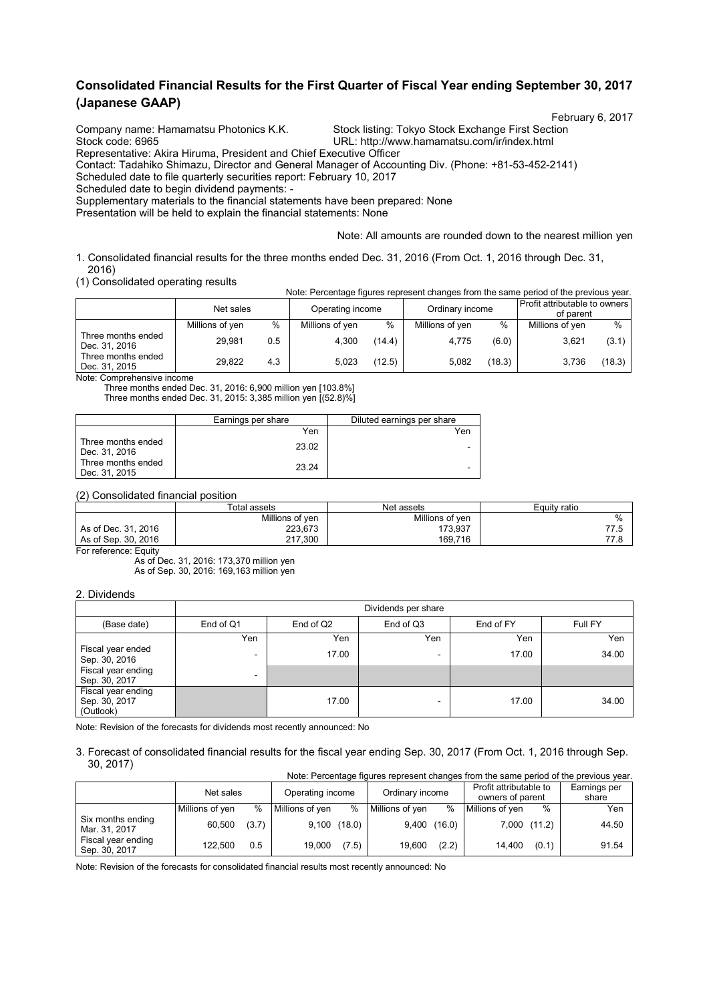# **Consolidated Financial Results for the First Quarter of Fiscal Year ending September 30, 2017 (Japanese GAAP)**

February 6, 2017

Company name: Hamamatsu Photonics K.K. Stock listing: Tokyo Stock Exchange First Section<br>Stock code: 6965<br>URL: http://www.hamamatsu.com/ir/index.html

URL: http://www.hamamatsu.com/ir/index.html

Representative: Akira Hiruma, President and Chief Executive Officer Contact: Tadahiko Shimazu, Director and General Manager of Accounting Div. (Phone: +81-53-452-2141)

Scheduled date to file quarterly securities report: February 10, 2017

Scheduled date to begin dividend payments: -

Supplementary materials to the financial statements have been prepared: None

Presentation will be held to explain the financial statements: None

Note: All amounts are rounded down to the nearest million yen

Note: Percentage figures represent changes from the same period of the previous year.

1. Consolidated financial results for the three months ended Dec. 31, 2016 (From Oct. 1, 2016 through Dec. 31, 2016)

(1) Consolidated operating results

|                                          | Net sales       |      | Operating income |        | Ordinary income |        | <b>Profit attributable to owners</b><br>of parent |        |
|------------------------------------------|-----------------|------|------------------|--------|-----------------|--------|---------------------------------------------------|--------|
|                                          | Millions of yen | $\%$ | Millions of yen  | %      | Millions of yen | %      | Millions of yen                                   | $\%$   |
| Three months ended<br>Dec. 31, 2016      | 29.981          | 0.5  | 4.300            | (14.4) | 4.775           | (6.0)  | 3.621                                             | (3.1)  |
| Three months ended<br>Dec. 31, 2015<br>. | 29.822          | 4.3  | 5.023            | (12.5) | 5.082           | (18.3) | 3.736                                             | (18.3) |

Note: Comprehensive income

Three months ended Dec. 31, 2016: 6,900 million yen [103.8%] Three months ended Dec. 31, 2015: 3,385 million yen [(52.8)%]

|                                     | Earnings per share | Diluted earnings per share |
|-------------------------------------|--------------------|----------------------------|
|                                     | Yen                | Yen                        |
| Three months ended<br>Dec. 31, 2016 | 23.02              | -                          |
| Three months ended<br>Dec. 31, 2015 | 23.24              | -                          |

#### (2) Consolidated financial position

|                     | Total assets    | Net assets      | Equity ratio |  |
|---------------------|-----------------|-----------------|--------------|--|
|                     | Millions of yen | Millions of yen | $\%$         |  |
| As of Dec. 31, 2016 | 223,673         | 173.937         | 77 L         |  |
| As of Sep. 30, 2016 | 217.300         | 169.716         | 77 0         |  |

For reference: Equity

As of Dec. 31, 2016: 173,370 million yen As of Sep. 30, 2016: 169,163 million yen

#### 2. Dividends

|                                                  | Dividends per share      |           |           |           |         |  |  |
|--------------------------------------------------|--------------------------|-----------|-----------|-----------|---------|--|--|
| (Base date)                                      | End of Q1                | End of Q2 | End of Q3 | End of FY | Full FY |  |  |
|                                                  | Yen                      | Yen       | Yen       | Yen       | Yen     |  |  |
| Fiscal year ended<br>Sep. 30, 2016               | $\overline{\phantom{0}}$ | 17.00     |           | 17.00     | 34.00   |  |  |
| Fiscal year ending<br>Sep. 30, 2017              | ۰                        |           |           |           |         |  |  |
| Fiscal year ending<br>Sep. 30, 2017<br>(Outlook) |                          | 17.00     |           | 17.00     | 34.00   |  |  |

Note: Revision of the forecasts for dividends most recently announced: No

#### 3. Forecast of consolidated financial results for the fiscal year ending Sep. 30, 2017 (From Oct. 1, 2016 through Sep. 30, 2017) Note: Percentage figures represent changes from the same period of the previous year.

| Note: Percentage figures represent changes from the same period of the previous year. |                 |       |                  |                |                 |                |                                            |              |                       |
|---------------------------------------------------------------------------------------|-----------------|-------|------------------|----------------|-----------------|----------------|--------------------------------------------|--------------|-----------------------|
|                                                                                       | Net sales       |       | Operating income |                | Ordinary income |                | Profit attributable to<br>owners of parent |              | Earnings per<br>share |
|                                                                                       | Millions of yen | %     | Millions of yen  | %              | Millions of ven | %              | Millions of yen                            | %            | Yen                   |
| Six months ending<br>Mar. 31, 2017                                                    | 60.500          | (3.7) |                  | $9,100$ (18.0) |                 | $9,400$ (16.0) |                                            | 7,000 (11.2) | 44.50                 |
| Fiscal year ending<br>Sep. 30, 2017                                                   | 122.500         | 0.5   | 19.000           | (7.5)          | 19.600          | (2.2)          | 14.400                                     | (0.1)        | 91.54                 |

Note: Revision of the forecasts for consolidated financial results most recently announced: No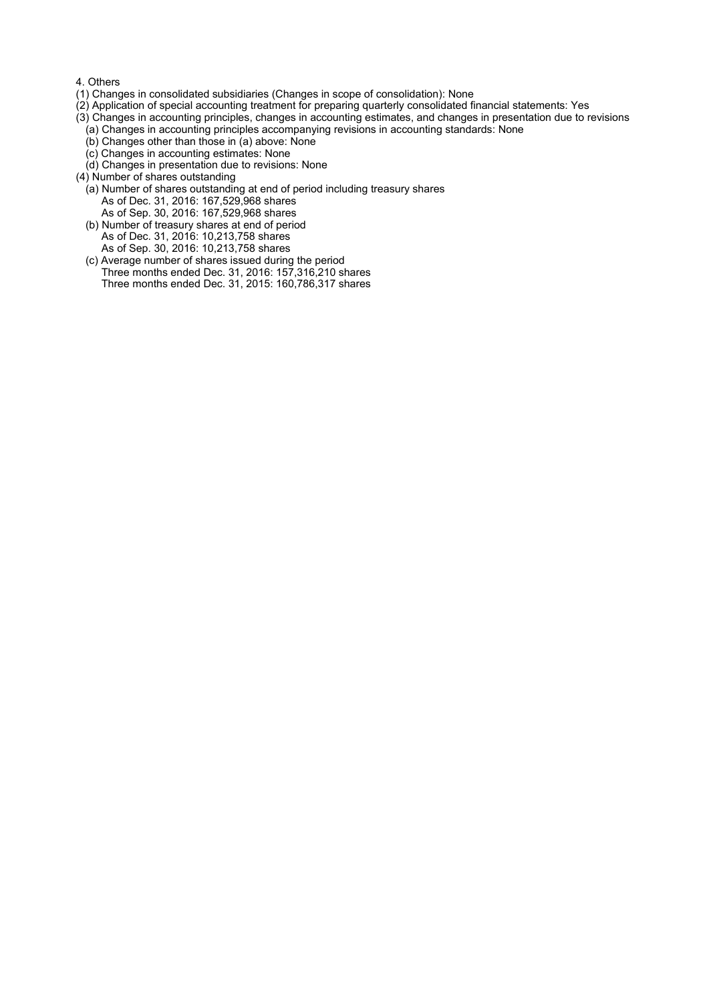#### 4. Others

- (1) Changes in consolidated subsidiaries (Changes in scope of consolidation): None
- (2) Application of special accounting treatment for preparing quarterly consolidated financial statements: Yes
- (3) Changes in accounting principles, changes in accounting estimates, and changes in presentation due to revisions
	- (a) Changes in accounting principles accompanying revisions in accounting standards: None
	- (b) Changes other than those in (a) above: None
	- (c) Changes in accounting estimates: None
	- (d) Changes in presentation due to revisions: None
- (4) Number of shares outstanding
	- (a) Number of shares outstanding at end of period including treasury shares As of Dec. 31, 2016: 167,529,968 shares As of Sep. 30, 2016: 167,529,968 shares
	- (b) Number of treasury shares at end of period As of Dec. 31, 2016: 10,213,758 shares As of Sep. 30, 2016: 10,213,758 shares
	- (c) Average number of shares issued during the period Three months ended Dec. 31, 2016: 157,316,210 shares Three months ended Dec. 31, 2015: 160,786,317 shares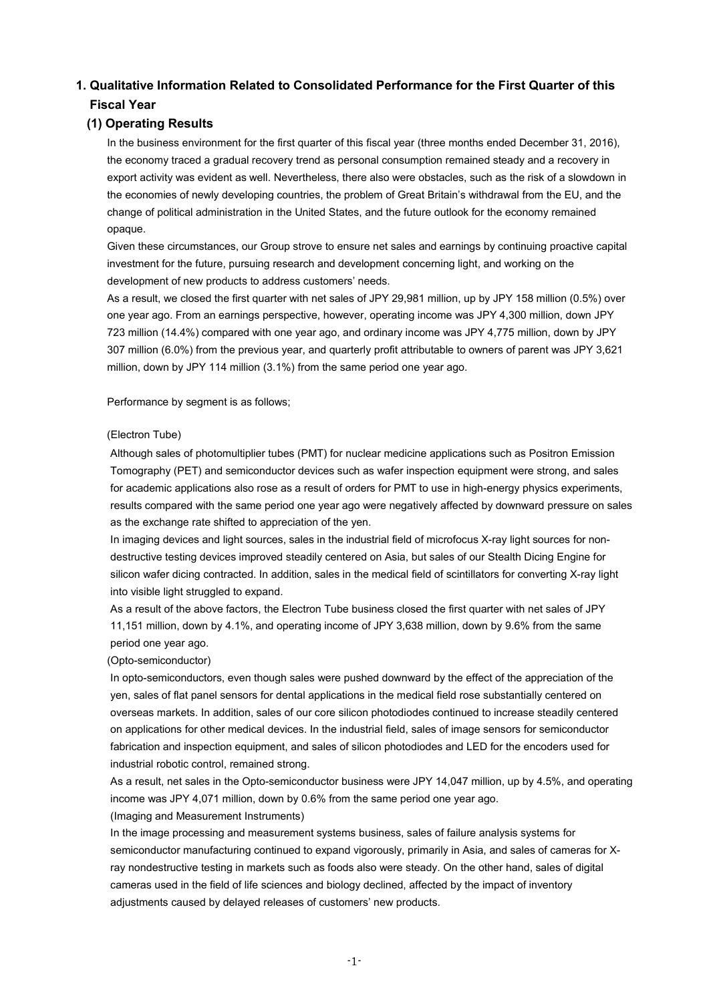# **1. Qualitative Information Related to Consolidated Performance for the First Quarter of this Fiscal Year**

# **(1) Operating Results**

In the business environment for the first quarter of this fiscal year (three months ended December 31, 2016), the economy traced a gradual recovery trend as personal consumption remained steady and a recovery in export activity was evident as well. Nevertheless, there also were obstacles, such as the risk of a slowdown in the economies of newly developing countries, the problem of Great Britain's withdrawal from the EU, and the change of political administration in the United States, and the future outlook for the economy remained opaque.

Given these circumstances, our Group strove to ensure net sales and earnings by continuing proactive capital investment for the future, pursuing research and development concerning light, and working on the development of new products to address customers' needs.

As a result, we closed the first quarter with net sales of JPY 29,981 million, up by JPY 158 million (0.5%) over one year ago. From an earnings perspective, however, operating income was JPY 4,300 million, down JPY 723 million (14.4%) compared with one year ago, and ordinary income was JPY 4,775 million, down by JPY 307 million (6.0%) from the previous year, and quarterly profit attributable to owners of parent was JPY 3,621 million, down by JPY 114 million (3.1%) from the same period one year ago.

Performance by segment is as follows;

#### (Electron Tube)

Although sales of photomultiplier tubes (PMT) for nuclear medicine applications such as Positron Emission Tomography (PET) and semiconductor devices such as wafer inspection equipment were strong, and sales for academic applications also rose as a result of orders for PMT to use in high-energy physics experiments, results compared with the same period one year ago were negatively affected by downward pressure on sales as the exchange rate shifted to appreciation of the yen.

In imaging devices and light sources, sales in the industrial field of microfocus X-ray light sources for nondestructive testing devices improved steadily centered on Asia, but sales of our Stealth Dicing Engine for silicon wafer dicing contracted. In addition, sales in the medical field of scintillators for converting X-ray light into visible light struggled to expand.

As a result of the above factors, the Electron Tube business closed the first quarter with net sales of JPY 11,151 million, down by 4.1%, and operating income of JPY 3,638 million, down by 9.6% from the same period one year ago.

(Opto-semiconductor)

In opto-semiconductors, even though sales were pushed downward by the effect of the appreciation of the yen, sales of flat panel sensors for dental applications in the medical field rose substantially centered on overseas markets. In addition, sales of our core silicon photodiodes continued to increase steadily centered on applications for other medical devices. In the industrial field, sales of image sensors for semiconductor fabrication and inspection equipment, and sales of silicon photodiodes and LED for the encoders used for industrial robotic control, remained strong.

As a result, net sales in the Opto-semiconductor business were JPY 14,047 million, up by 4.5%, and operating income was JPY 4,071 million, down by 0.6% from the same period one year ago.

(Imaging and Measurement Instruments)

In the image processing and measurement systems business, sales of failure analysis systems for semiconductor manufacturing continued to expand vigorously, primarily in Asia, and sales of cameras for Xray nondestructive testing in markets such as foods also were steady. On the other hand, sales of digital cameras used in the field of life sciences and biology declined, affected by the impact of inventory adjustments caused by delayed releases of customers' new products.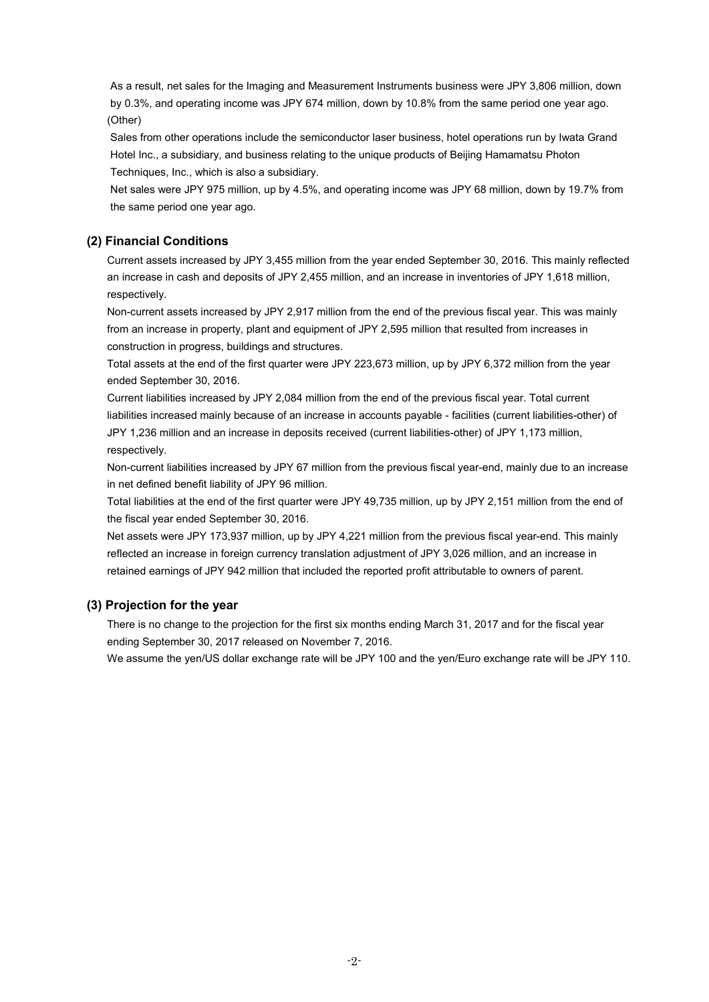As a result, net sales for the Imaging and Measurement Instruments business were JPY 3,806 million, down by 0.3%, and operating income was JPY 674 million, down by 10.8% from the same period one year ago. (Other)

Sales from other operations include the semiconductor laser business, hotel operations run by Iwata Grand Hotel Inc., a subsidiary, and business relating to the unique products of Beijing Hamamatsu Photon Techniques, Inc., which is also a subsidiary.

Net sales were JPY 975 million, up by 4.5%, and operating income was JPY 68 million, down by 19.7% from the same period one year ago.

### **(2) Financial Conditions**

Current assets increased by JPY 3,455 million from the year ended September 30, 2016. This mainly reflected an increase in cash and deposits of JPY 2,455 million, and an increase in inventories of JPY 1,618 million, respectively.

Non-current assets increased by JPY 2,917 million from the end of the previous fiscal year. This was mainly from an increase in property, plant and equipment of JPY 2,595 million that resulted from increases in construction in progress, buildings and structures.

Total assets at the end of the first quarter were JPY 223,673 million, up by JPY 6,372 million from the year ended September 30, 2016.

Current liabilities increased by JPY 2,084 million from the end of the previous fiscal year. Total current liabilities increased mainly because of an increase in accounts payable - facilities (current liabilities-other) of JPY 1,236 million and an increase in deposits received (current liabilities-other) of JPY 1,173 million, respectively.

Non-current liabilities increased by JPY 67 million from the previous fiscal year-end, mainly due to an increase in net defined benefit liability of JPY 96 million.

Total liabilities at the end of the first quarter were JPY 49,735 million, up by JPY 2,151 million from the end of the fiscal year ended September 30, 2016.

Net assets were JPY 173,937 million, up by JPY 4,221 million from the previous fiscal year-end. This mainly reflected an increase in foreign currency translation adjustment of JPY 3,026 million, and an increase in retained earnings of JPY 942 million that included the reported profit attributable to owners of parent.

#### **(3) Projection for the year**

There is no change to the projection for the first six months ending March 31, 2017 and for the fiscal year ending September 30, 2017 released on November 7, 2016.

We assume the yen/US dollar exchange rate will be JPY 100 and the yen/Euro exchange rate will be JPY 110.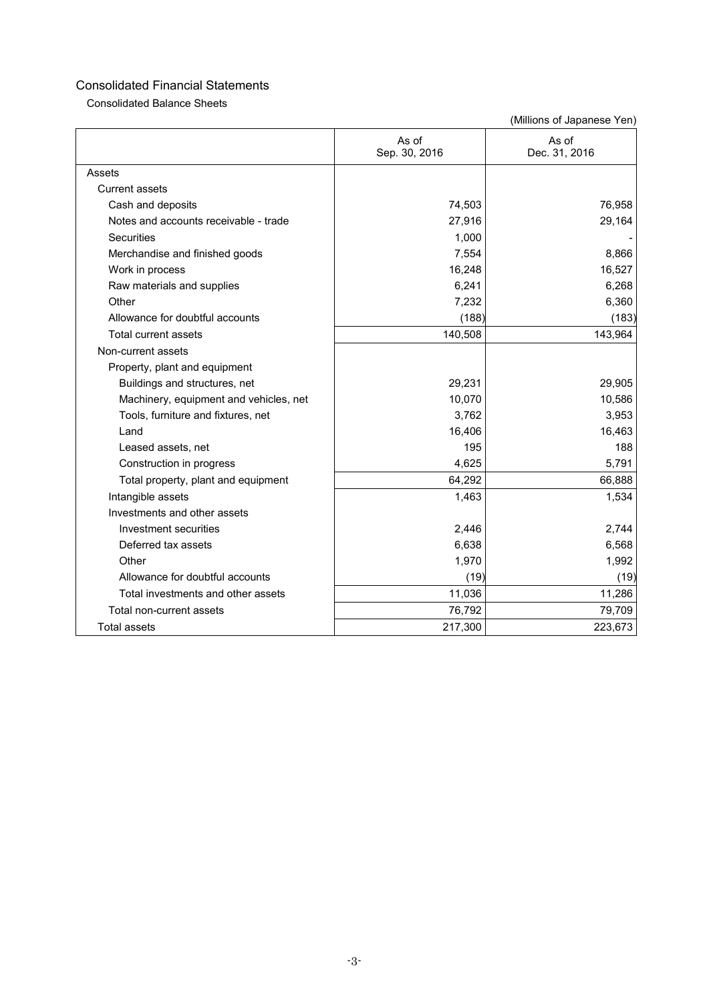Consolidated Balance Sheets

|                                        | As of<br>Sep. 30, 2016 | As of<br>Dec. 31, 2016 |
|----------------------------------------|------------------------|------------------------|
| Assets                                 |                        |                        |
| <b>Current assets</b>                  |                        |                        |
| Cash and deposits                      | 74,503                 | 76,958                 |
| Notes and accounts receivable - trade  | 27,916                 | 29,164                 |
| Securities                             | 1,000                  |                        |
| Merchandise and finished goods         | 7,554                  | 8,866                  |
| Work in process                        | 16,248                 | 16,527                 |
| Raw materials and supplies             | 6,241                  | 6,268                  |
| Other                                  | 7,232                  | 6,360                  |
| Allowance for doubtful accounts        | (188)                  | (183)                  |
| Total current assets                   | 140,508                | 143,964                |
| Non-current assets                     |                        |                        |
| Property, plant and equipment          |                        |                        |
| Buildings and structures, net          | 29,231                 | 29,905                 |
| Machinery, equipment and vehicles, net | 10,070                 | 10,586                 |
| Tools, furniture and fixtures, net     | 3,762                  | 3,953                  |
| Land                                   | 16,406                 | 16,463                 |
| Leased assets, net                     | 195                    | 188                    |
| Construction in progress               | 4,625                  | 5,791                  |
| Total property, plant and equipment    | 64,292                 | 66,888                 |
| Intangible assets                      | 1,463                  | 1,534                  |
| Investments and other assets           |                        |                        |
| Investment securities                  | 2,446                  | 2,744                  |
| Deferred tax assets                    | 6,638                  | 6,568                  |
| Other                                  | 1,970                  | 1,992                  |
| Allowance for doubtful accounts        | (19)                   | (19)                   |
| Total investments and other assets     | 11,036                 | 11,286                 |
| Total non-current assets               | 76,792                 | 79,709                 |
| <b>Total assets</b>                    | 217,300                | 223,673                |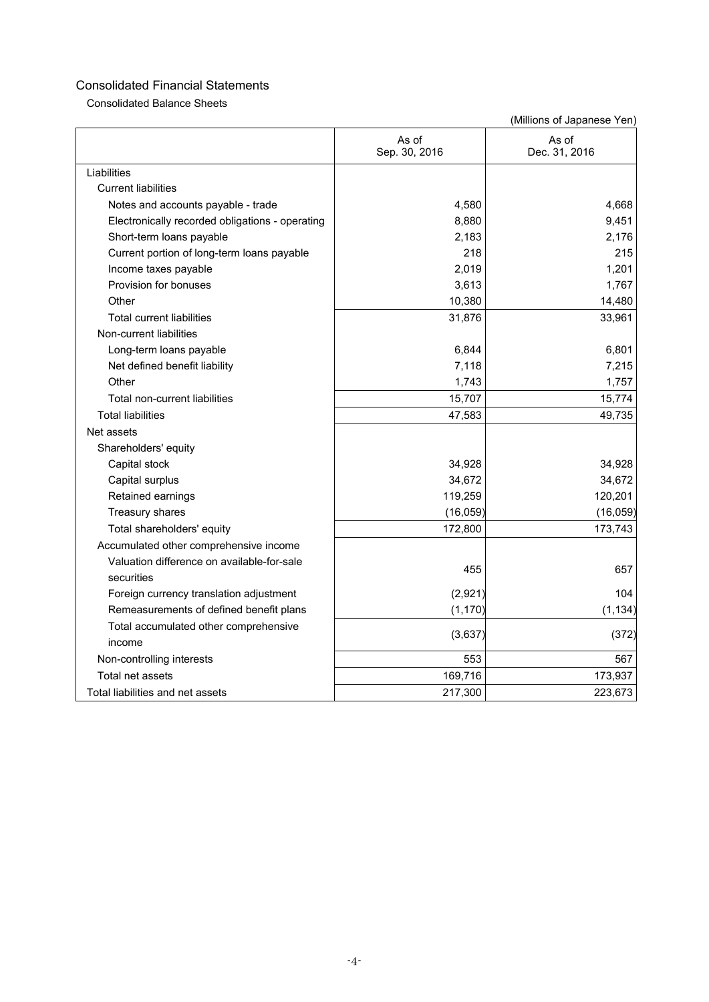Consolidated Balance Sheets

| Liabilities<br><b>Current liabilities</b><br>4,580<br>4,668<br>Notes and accounts payable - trade<br>9,451<br>8,880<br>Electronically recorded obligations - operating<br>2,183<br>2,176<br>Short-term loans payable<br>218<br>215<br>Current portion of long-term loans payable<br>2,019<br>1,201<br>Income taxes payable<br>3,613<br>Provision for bonuses<br>1,767<br>Other<br>10,380<br>14,480<br>31,876<br><b>Total current liabilities</b><br>33,961<br>Non-current liabilities<br>6,844<br>6,801<br>Long-term loans payable<br>7,118<br>7,215<br>Net defined benefit liability<br>Other<br>1,743<br>1,757<br>15,707<br>15,774<br>Total non-current liabilities<br><b>Total liabilities</b><br>47,583<br>49,735<br>Net assets<br>Shareholders' equity<br>34,928<br>34,928<br>Capital stock<br>34,672<br>34,672<br>Capital surplus<br>119,259<br>120,201<br>Retained earnings<br>Treasury shares<br>(16, 059)<br>(16, 059)<br>Total shareholders' equity<br>172,800<br>173,743<br>Accumulated other comprehensive income<br>Valuation difference on available-for-sale<br>455<br>657<br>securities<br>(2,921)<br>Foreign currency translation adjustment<br>104<br>Remeasurements of defined benefit plans<br>(1, 170)<br>(1, 134)<br>Total accumulated other comprehensive<br>(3,637)<br>(372)<br>income<br>553<br>Non-controlling interests<br>567<br>169,716<br>Total net assets<br>173,937<br>Total liabilities and net assets<br>217,300<br>223,673 | As of<br>Sep. 30, 2016 | As of<br>Dec. 31, 2016 |
|---------------------------------------------------------------------------------------------------------------------------------------------------------------------------------------------------------------------------------------------------------------------------------------------------------------------------------------------------------------------------------------------------------------------------------------------------------------------------------------------------------------------------------------------------------------------------------------------------------------------------------------------------------------------------------------------------------------------------------------------------------------------------------------------------------------------------------------------------------------------------------------------------------------------------------------------------------------------------------------------------------------------------------------------------------------------------------------------------------------------------------------------------------------------------------------------------------------------------------------------------------------------------------------------------------------------------------------------------------------------------------------------------------------------------------------------------------------|------------------------|------------------------|
|                                                                                                                                                                                                                                                                                                                                                                                                                                                                                                                                                                                                                                                                                                                                                                                                                                                                                                                                                                                                                                                                                                                                                                                                                                                                                                                                                                                                                                                               |                        |                        |
|                                                                                                                                                                                                                                                                                                                                                                                                                                                                                                                                                                                                                                                                                                                                                                                                                                                                                                                                                                                                                                                                                                                                                                                                                                                                                                                                                                                                                                                               |                        |                        |
|                                                                                                                                                                                                                                                                                                                                                                                                                                                                                                                                                                                                                                                                                                                                                                                                                                                                                                                                                                                                                                                                                                                                                                                                                                                                                                                                                                                                                                                               |                        |                        |
|                                                                                                                                                                                                                                                                                                                                                                                                                                                                                                                                                                                                                                                                                                                                                                                                                                                                                                                                                                                                                                                                                                                                                                                                                                                                                                                                                                                                                                                               |                        |                        |
|                                                                                                                                                                                                                                                                                                                                                                                                                                                                                                                                                                                                                                                                                                                                                                                                                                                                                                                                                                                                                                                                                                                                                                                                                                                                                                                                                                                                                                                               |                        |                        |
|                                                                                                                                                                                                                                                                                                                                                                                                                                                                                                                                                                                                                                                                                                                                                                                                                                                                                                                                                                                                                                                                                                                                                                                                                                                                                                                                                                                                                                                               |                        |                        |
|                                                                                                                                                                                                                                                                                                                                                                                                                                                                                                                                                                                                                                                                                                                                                                                                                                                                                                                                                                                                                                                                                                                                                                                                                                                                                                                                                                                                                                                               |                        |                        |
|                                                                                                                                                                                                                                                                                                                                                                                                                                                                                                                                                                                                                                                                                                                                                                                                                                                                                                                                                                                                                                                                                                                                                                                                                                                                                                                                                                                                                                                               |                        |                        |
|                                                                                                                                                                                                                                                                                                                                                                                                                                                                                                                                                                                                                                                                                                                                                                                                                                                                                                                                                                                                                                                                                                                                                                                                                                                                                                                                                                                                                                                               |                        |                        |
|                                                                                                                                                                                                                                                                                                                                                                                                                                                                                                                                                                                                                                                                                                                                                                                                                                                                                                                                                                                                                                                                                                                                                                                                                                                                                                                                                                                                                                                               |                        |                        |
|                                                                                                                                                                                                                                                                                                                                                                                                                                                                                                                                                                                                                                                                                                                                                                                                                                                                                                                                                                                                                                                                                                                                                                                                                                                                                                                                                                                                                                                               |                        |                        |
|                                                                                                                                                                                                                                                                                                                                                                                                                                                                                                                                                                                                                                                                                                                                                                                                                                                                                                                                                                                                                                                                                                                                                                                                                                                                                                                                                                                                                                                               |                        |                        |
|                                                                                                                                                                                                                                                                                                                                                                                                                                                                                                                                                                                                                                                                                                                                                                                                                                                                                                                                                                                                                                                                                                                                                                                                                                                                                                                                                                                                                                                               |                        |                        |
|                                                                                                                                                                                                                                                                                                                                                                                                                                                                                                                                                                                                                                                                                                                                                                                                                                                                                                                                                                                                                                                                                                                                                                                                                                                                                                                                                                                                                                                               |                        |                        |
|                                                                                                                                                                                                                                                                                                                                                                                                                                                                                                                                                                                                                                                                                                                                                                                                                                                                                                                                                                                                                                                                                                                                                                                                                                                                                                                                                                                                                                                               |                        |                        |
|                                                                                                                                                                                                                                                                                                                                                                                                                                                                                                                                                                                                                                                                                                                                                                                                                                                                                                                                                                                                                                                                                                                                                                                                                                                                                                                                                                                                                                                               |                        |                        |
|                                                                                                                                                                                                                                                                                                                                                                                                                                                                                                                                                                                                                                                                                                                                                                                                                                                                                                                                                                                                                                                                                                                                                                                                                                                                                                                                                                                                                                                               |                        |                        |
|                                                                                                                                                                                                                                                                                                                                                                                                                                                                                                                                                                                                                                                                                                                                                                                                                                                                                                                                                                                                                                                                                                                                                                                                                                                                                                                                                                                                                                                               |                        |                        |
|                                                                                                                                                                                                                                                                                                                                                                                                                                                                                                                                                                                                                                                                                                                                                                                                                                                                                                                                                                                                                                                                                                                                                                                                                                                                                                                                                                                                                                                               |                        |                        |
|                                                                                                                                                                                                                                                                                                                                                                                                                                                                                                                                                                                                                                                                                                                                                                                                                                                                                                                                                                                                                                                                                                                                                                                                                                                                                                                                                                                                                                                               |                        |                        |
|                                                                                                                                                                                                                                                                                                                                                                                                                                                                                                                                                                                                                                                                                                                                                                                                                                                                                                                                                                                                                                                                                                                                                                                                                                                                                                                                                                                                                                                               |                        |                        |
|                                                                                                                                                                                                                                                                                                                                                                                                                                                                                                                                                                                                                                                                                                                                                                                                                                                                                                                                                                                                                                                                                                                                                                                                                                                                                                                                                                                                                                                               |                        |                        |
|                                                                                                                                                                                                                                                                                                                                                                                                                                                                                                                                                                                                                                                                                                                                                                                                                                                                                                                                                                                                                                                                                                                                                                                                                                                                                                                                                                                                                                                               |                        |                        |
|                                                                                                                                                                                                                                                                                                                                                                                                                                                                                                                                                                                                                                                                                                                                                                                                                                                                                                                                                                                                                                                                                                                                                                                                                                                                                                                                                                                                                                                               |                        |                        |
|                                                                                                                                                                                                                                                                                                                                                                                                                                                                                                                                                                                                                                                                                                                                                                                                                                                                                                                                                                                                                                                                                                                                                                                                                                                                                                                                                                                                                                                               |                        |                        |
|                                                                                                                                                                                                                                                                                                                                                                                                                                                                                                                                                                                                                                                                                                                                                                                                                                                                                                                                                                                                                                                                                                                                                                                                                                                                                                                                                                                                                                                               |                        |                        |
|                                                                                                                                                                                                                                                                                                                                                                                                                                                                                                                                                                                                                                                                                                                                                                                                                                                                                                                                                                                                                                                                                                                                                                                                                                                                                                                                                                                                                                                               |                        |                        |
|                                                                                                                                                                                                                                                                                                                                                                                                                                                                                                                                                                                                                                                                                                                                                                                                                                                                                                                                                                                                                                                                                                                                                                                                                                                                                                                                                                                                                                                               |                        |                        |
|                                                                                                                                                                                                                                                                                                                                                                                                                                                                                                                                                                                                                                                                                                                                                                                                                                                                                                                                                                                                                                                                                                                                                                                                                                                                                                                                                                                                                                                               |                        |                        |
|                                                                                                                                                                                                                                                                                                                                                                                                                                                                                                                                                                                                                                                                                                                                                                                                                                                                                                                                                                                                                                                                                                                                                                                                                                                                                                                                                                                                                                                               |                        |                        |
|                                                                                                                                                                                                                                                                                                                                                                                                                                                                                                                                                                                                                                                                                                                                                                                                                                                                                                                                                                                                                                                                                                                                                                                                                                                                                                                                                                                                                                                               |                        |                        |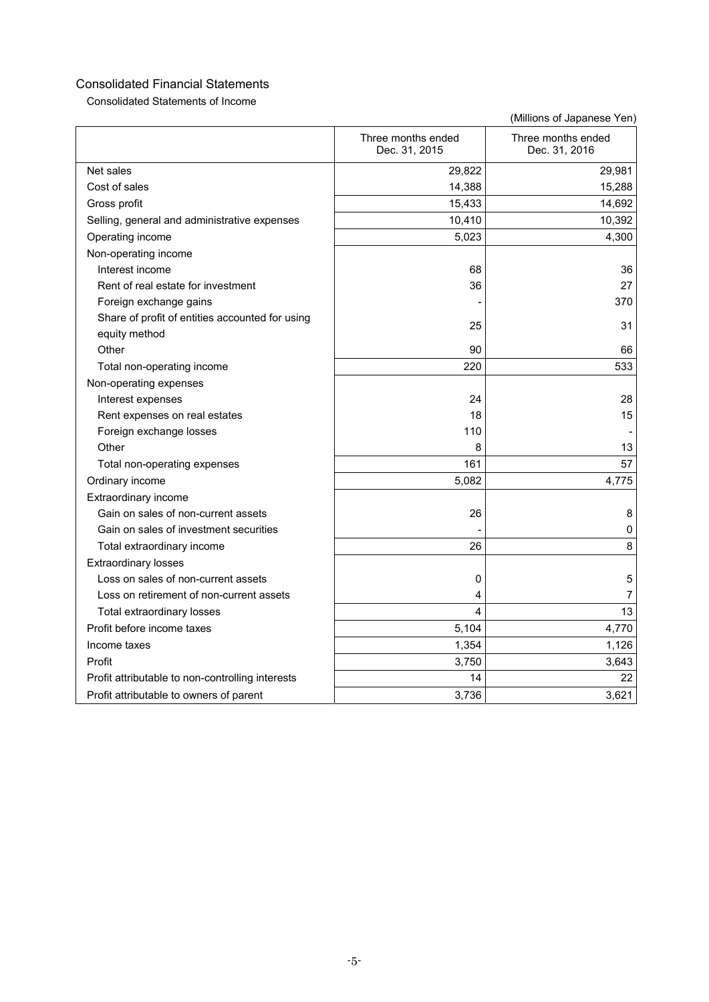Consolidated Statements of Income

|                                                  | Three months ended<br>Dec. 31, 2015 | Three months ended<br>Dec. 31, 2016 |
|--------------------------------------------------|-------------------------------------|-------------------------------------|
| Net sales                                        | 29,822                              | 29,981                              |
| Cost of sales                                    | 14,388                              | 15,288                              |
| Gross profit                                     | 15,433                              | 14,692                              |
| Selling, general and administrative expenses     | 10,410                              | 10,392                              |
| Operating income                                 | 5,023                               | 4,300                               |
| Non-operating income                             |                                     |                                     |
| Interest income                                  | 68                                  | 36                                  |
| Rent of real estate for investment               | 36                                  | 27                                  |
| Foreign exchange gains                           |                                     | 370                                 |
| Share of profit of entities accounted for using  | 25                                  | 31                                  |
| equity method                                    |                                     |                                     |
| Other                                            | 90                                  | 66                                  |
| Total non-operating income                       | 220                                 | 533                                 |
| Non-operating expenses                           |                                     |                                     |
| Interest expenses                                | 24                                  | 28                                  |
| Rent expenses on real estates                    | 18                                  | 15                                  |
| Foreign exchange losses                          | 110                                 |                                     |
| Other                                            | 8                                   | 13                                  |
| Total non-operating expenses                     | 161                                 | 57                                  |
| Ordinary income                                  | 5,082                               | 4,775                               |
| Extraordinary income                             |                                     |                                     |
| Gain on sales of non-current assets              | 26                                  | 8                                   |
| Gain on sales of investment securities           |                                     | 0                                   |
| Total extraordinary income                       | 26                                  | 8                                   |
| <b>Extraordinary losses</b>                      |                                     |                                     |
| Loss on sales of non-current assets              | 0                                   | 5                                   |
| Loss on retirement of non-current assets         | 4                                   | 7                                   |
| Total extraordinary losses                       | 4                                   | 13                                  |
| Profit before income taxes                       | 5,104                               | 4,770                               |
| Income taxes                                     | 1,354                               | 1,126                               |
| Profit                                           | 3,750                               | 3,643                               |
| Profit attributable to non-controlling interests | 14                                  | 22                                  |
| Profit attributable to owners of parent          | 3,736                               | 3,621                               |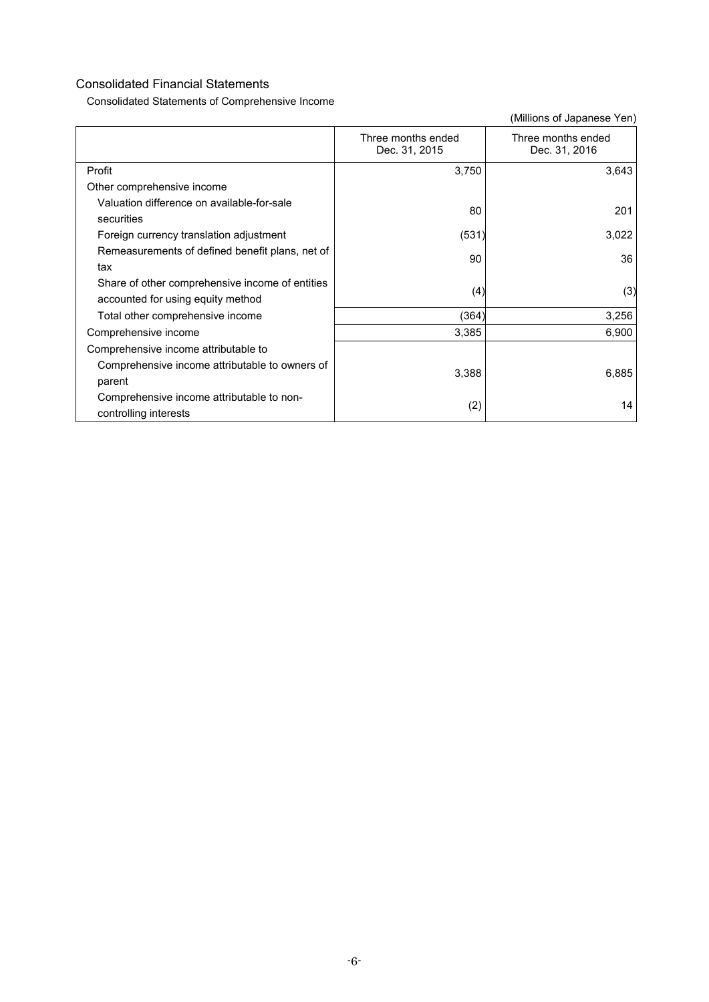Consolidated Statements of Comprehensive Income

|                                                                                      | Three months ended<br>Dec. 31, 2015 | Three months ended<br>Dec. 31, 2016 |
|--------------------------------------------------------------------------------------|-------------------------------------|-------------------------------------|
| Profit                                                                               | 3,750                               | 3,643                               |
| Other comprehensive income                                                           |                                     |                                     |
| Valuation difference on available-for-sale<br>securities                             | 80                                  | 201                                 |
| Foreign currency translation adjustment                                              | (531)                               | 3,022                               |
| Remeasurements of defined benefit plans, net of<br>tax                               | 90                                  | 36                                  |
| Share of other comprehensive income of entities<br>accounted for using equity method | (4)                                 | (3)                                 |
| Total other comprehensive income                                                     | (364)                               | 3,256                               |
| Comprehensive income                                                                 | 3,385                               | 6,900                               |
| Comprehensive income attributable to                                                 |                                     |                                     |
| Comprehensive income attributable to owners of                                       | 3,388                               | 6,885                               |
| parent                                                                               |                                     |                                     |
| Comprehensive income attributable to non-<br>controlling interests                   | (2)                                 | 14                                  |